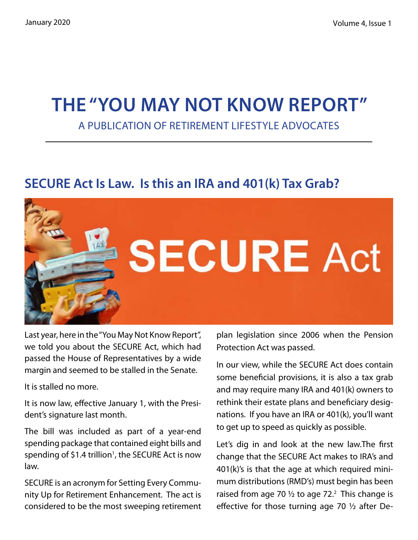# **The "You May Not Know Report"** A Publication of Retirement Lifestyle Advocates

## **SECURE Act Is Law. Is this an IRA and 401(k) Tax Grab?**



Last year, here in the "You May Not Know Report", we told you about the SECURE Act, which had passed the House of Representatives by a wide margin and seemed to be stalled in the Senate.

It is stalled no more.

It is now law, effective January 1, with the President's signature last month.

The bill was included as part of a year-end spending package that contained eight bills and spending of \$1.4 trillion<sup>1</sup>, the SECURE Act is now law.

SECURE is an acronym for Setting Every Community Up for Retirement Enhancement. The act is considered to be the most sweeping retirement plan legislation since 2006 when the Pension Protection Act was passed.

In our view, while the SECURE Act does contain some beneficial provisions, it is also a tax grab and may require many IRA and 401(k) owners to rethink their estate plans and beneficiary designations. If you have an IRA or 401(k), you'll want to get up to speed as quickly as possible.

Let's dig in and look at the new law.The first change that the SECURE Act makes to IRA's and 401(k)'s is that the age at which required minimum distributions (RMD's) must begin has been raised from age 70  $\frac{1}{2}$  to age 72.<sup>2</sup> This change is effective for those turning age 70 ½ after De-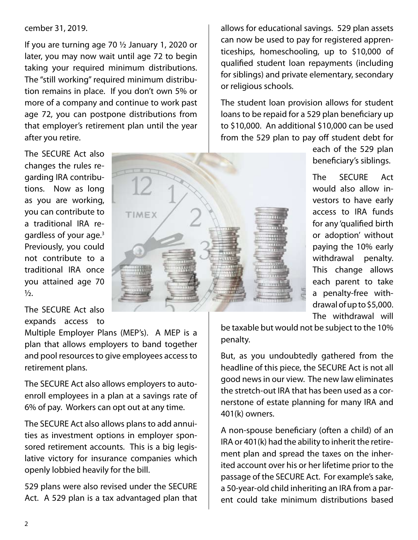### cember 31, 2019.

If you are turning age 70 ½ January 1, 2020 or later, you may now wait until age 72 to begin taking your required minimum distributions. The "still working" required minimum distribution remains in place. If you don't own 5% or more of a company and continue to work past age 72, you can postpone distributions from that employer's retirement plan until the year after you retire.

The SECURE Act also changes the rules regarding IRA contributions. Now as long as you are working, you can contribute to a traditional IRA regardless of your age.<sup>3</sup> Previously, you could not contribute to a traditional IRA once you attained age 70  $\frac{1}{2}$ .

The SECURE Act also expands access to

Multiple Employer Plans (MEP's). A MEP is a plan that allows employers to band together and pool resources to give employees access to retirement plans.

The SECURE Act also allows employers to autoenroll employees in a plan at a savings rate of 6% of pay. Workers can opt out at any time.

The SECURE Act also allows plans to add annuities as investment options in employer sponsored retirement accounts. This is a big legislative victory for insurance companies which openly lobbied heavily for the bill.

529 plans were also revised under the SECURE Act. A 529 plan is a tax advantaged plan that



allows for educational savings. 529 plan assets can now be used to pay for registered apprenticeships, homeschooling, up to \$10,000 of qualified student loan repayments (including for siblings) and private elementary, secondary or religious schools.

The student loan provision allows for student loans to be repaid for a 529 plan beneficiary up to \$10,000. An additional \$10,000 can be used from the 529 plan to pay off student debt for

> each of the 529 plan beneficiary's siblings.

> The SECURE Act would also allow investors to have early access to IRA funds for any 'qualified birth or adoption' without paying the 10% early withdrawal penalty. This change allows each parent to take a penalty-free withdrawal of up to \$5,000. The withdrawal will

be taxable but would not be subject to the 10% penalty.

But, as you undoubtedly gathered from the headline of this piece, the SECURE Act is not all good news in our view. The new law eliminates the stretch-out IRA that has been used as a cornerstone of estate planning for many IRA and 401(k) owners.

A non-spouse beneficiary (often a child) of an IRA or 401(k) had the ability to inherit the retirement plan and spread the taxes on the inherited account over his or her lifetime prior to the passage of the SECURE Act. For example's sake, a 50-year-old child inheriting an IRA from a parent could take minimum distributions based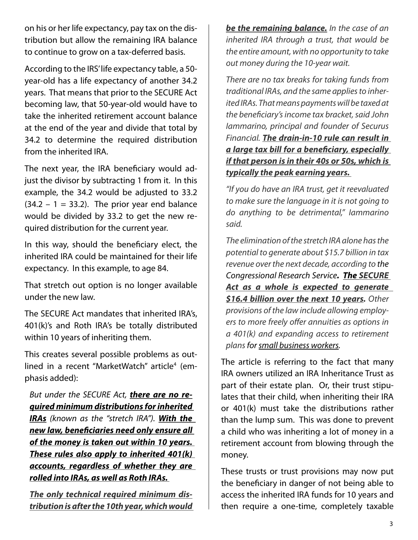on his or her life expectancy, pay tax on the distribution but allow the remaining IRA balance to continue to grow on a tax-deferred basis.

According to the IRS' life expectancy table, a 50 year-old has a life expectancy of another 34.2 years. That means that prior to the SECURE Act becoming law, that 50-year-old would have to take the inherited retirement account balance at the end of the year and divide that total by 34.2 to determine the required distribution from the inherited IRA.

The next year, the IRA beneficiary would adjust the divisor by subtracting 1 from it. In this example, the 34.2 would be adjusted to 33.2  $(34.2 - 1 = 33.2)$ . The prior year end balance would be divided by 33.2 to get the new required distribution for the current year.

In this way, should the beneficiary elect, the inherited IRA could be maintained for their life expectancy. In this example, to age 84.

That stretch out option is no longer available under the new law.

The SECURE Act mandates that inherited IRA's, 401(k)'s and Roth IRA's be totally distributed within 10 years of inheriting them.

This creates several possible problems as outlined in a recent "MarketWatch" article<sup>4</sup> (emphasis added):

*But under the SECURE Act, there are no required minimum distributions for inherited IRAs (known as the "stretch IRA"). With the new law, beneficiaries need only ensure all of the money is taken out within 10 years. These rules also apply to inherited 401(k) accounts, regardless of whether they are rolled into IRAs, as well as Roth IRAs.*

*The only technical required minimum distribution is after the 10th year, which would*  *be the remaining balance. In the case of an inherited IRA through a trust, that would be the entire amount, with no opportunity to take out money during the 10-year wait.*

*There are no tax breaks for taking funds from traditional IRAs, and the same applies to inherited IRAs. That means payments will be taxed at the beneficiary's income tax bracket, said John Iammarino, principal and founder of Securus Financial. The drain-in-10 rule can result in a large tax bill for a beneficiary, especially if that person is in their 40s or 50s, which is typically the peak earning years.*

*"If you do have an IRA trust, get it reevaluated to make sure the language in it is not going to do anything to be detrimental," Iammarino said.*

*The elimination of the stretch IRA alone has the potential to generate about \$15.7 billion in tax revenue over the next decade, according to the Congressional Research Service. The SECURE Act as a whole is expected to generate \$16.4 billion over the next 10 years. Other provisions of the law include allowing employers to more freely offer annuities as options in a 401(k) and expanding access to retirement plans forsmall business workers.*

The article is referring to the fact that many IRA owners utilized an IRA Inheritance Trust as part of their estate plan. Or, their trust stipulates that their child, when inheriting their IRA or 401(k) must take the distributions rather than the lump sum. This was done to prevent a child who was inheriting a lot of money in a retirement account from blowing through the money.

These trusts or trust provisions may now put the beneficiary in danger of not being able to access the inherited IRA funds for 10 years and then require a one-time, completely taxable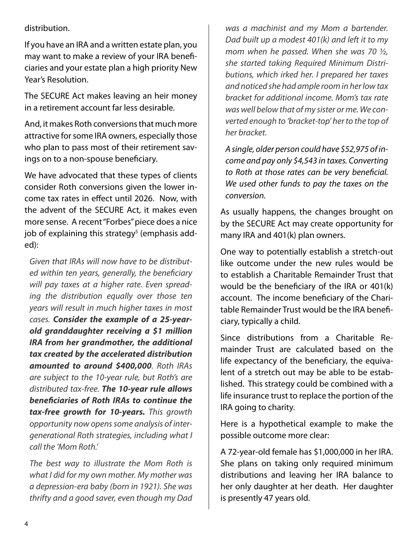### distribution.

If you have an IRA and a written estate plan, you may want to make a review of your IRA beneficiaries and your estate plan a high priority New Year's Resolution.

The SECURE Act makes leaving an heir money in a retirement account far less desirable.

And, it makes Roth conversions that much more attractive for some IRA owners, especially those who plan to pass most of their retirement savings on to a non-spouse beneficiary.

We have advocated that these types of clients consider Roth conversions given the lower income tax rates in effect until 2026. Now, with the advent of the SECURE Act, it makes even more sense. A recent "Forbes" piece does a nice job of explaining this strategy<sup>5</sup> (emphasis added):

*Given that IRAs will now have to be distributed within ten years, generally, the beneficiary will pay taxes at a higher rate. Even spreading the distribution equally over those ten years will result in much higher taxes in most cases. Consider the example of a 25-yearold granddaughter receiving a \$1 million IRA from her grandmother, the additional tax created by the accelerated distribution amounted to around \$400,000. Roth IRAs are subject to the 10-year rule, but Roth's are distributed tax-free. The 10-year rule allows beneficiaries of Roth IRAs to continue the tax-free growth for 10-years. This growth opportunity now opens some analysis of intergenerational Roth strategies, including what I call the 'Mom Roth.'*

*The best way to illustrate the Mom Roth is what I did for my own mother. My mother was a depression-era baby (born in 1921). She was thrifty and a good saver, even though my Dad*  *was a machinist and my Mom a bartender. Dad built up a modest 401(k) and left it to my mom when he passed. When she was 70 ½, she started taking Required Minimum Distributions, which irked her. I prepared her taxes and noticed she had ample room in her low tax bracket for additional income. Mom's tax rate was well below that of my sister or me. We converted enough to 'bracket-top' her to the top of her bracket.*

*A single, older person could have \$52,975 of income and pay only \$4,543 in taxes. Converting to Roth at those rates can be very beneficial. We used other funds to pay the taxes on the conversion.* 

As usually happens, the changes brought on by the SECURE Act may create opportunity for many IRA and 401(k) plan owners.

One way to potentially establish a stretch-out like outcome under the new rules would be to establish a Charitable Remainder Trust that would be the beneficiary of the IRA or 401(k) account. The income beneficiary of the Charitable Remainder Trust would be the IRA beneficiary, typically a child.

Since distributions from a Charitable Remainder Trust are calculated based on the life expectancy of the beneficiary, the equivalent of a stretch out may be able to be established. This strategy could be combined with a life insurance trust to replace the portion of the IRA going to charity.

Here is a hypothetical example to make the possible outcome more clear:

A 72-year-old female has \$1,000,000 in her IRA. She plans on taking only required minimum distributions and leaving her IRA balance to her only daughter at her death. Her daughter is presently 47 years old.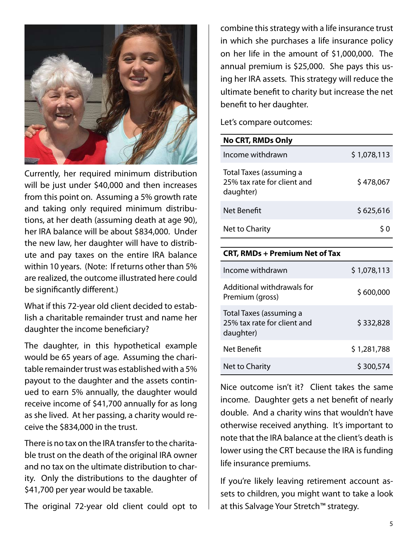

Currently, her required minimum distribution will be just under \$40,000 and then increases from this point on. Assuming a 5% growth rate and taking only required minimum distributions, at her death (assuming death at age 90), her IRA balance will be about \$834,000. Under the new law, her daughter will have to distribute and pay taxes on the entire IRA balance within 10 years. (Note: If returns other than 5% are realized, the outcome illustrated here could be significantly different.)

What if this 72-year old client decided to establish a charitable remainder trust and name her daughter the income beneficiary?

The daughter, in this hypothetical example would be 65 years of age. Assuming the charitable remainder trust was established with a 5% payout to the daughter and the assets continued to earn 5% annually, the daughter would receive income of \$41,700 annually for as long as she lived. At her passing, a charity would receive the \$834,000 in the trust.

There is no tax on the IRA transfer to the charitable trust on the death of the original IRA owner and no tax on the ultimate distribution to charity. Only the distributions to the daughter of \$41,700 per year would be taxable.

The original 72-year old client could opt to

combine this strategy with a life insurance trust in which she purchases a life insurance policy on her life in the amount of \$1,000,000. The annual premium is \$25,000. She pays this using her IRA assets. This strategy will reduce the ultimate benefit to charity but increase the net benefit to her daughter.

Let's compare outcomes:

| <b>No CRT, RMDs Only</b>                                            |             |
|---------------------------------------------------------------------|-------------|
| Income withdrawn                                                    | \$1,078,113 |
| Total Taxes (assuming a<br>25% tax rate for client and<br>daughter) | \$478,067   |
| Net Benefit                                                         | \$625,616   |
| Net to Charity                                                      | ς Ω         |

#### **CRT, RMDs + Premium Net of Tax**

| Income withdrawn                                                    | \$1,078,113 |
|---------------------------------------------------------------------|-------------|
| Additional withdrawals for<br>Premium (gross)                       | \$600,000   |
| Total Taxes (assuming a<br>25% tax rate for client and<br>daughter) | \$332,828   |
| Net Benefit                                                         | \$1,281,788 |
| Net to Charity                                                      | \$300,574   |

Nice outcome isn't it? Client takes the same income. Daughter gets a net benefit of nearly double. And a charity wins that wouldn't have otherwise received anything. It's important to note that the IRA balance at the client's death is lower using the CRT because the IRA is funding life insurance premiums.

If you're likely leaving retirement account assets to children, you might want to take a look at this Salvage Your Stretch™ strategy.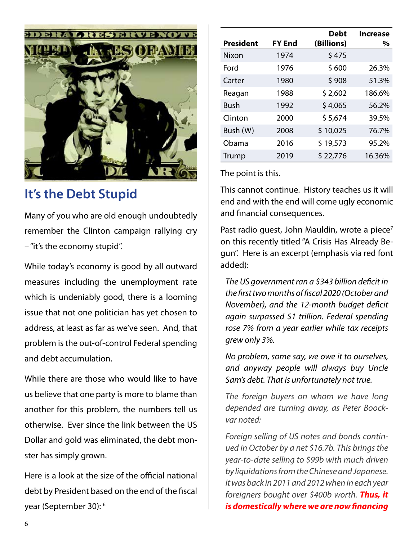

### **It's the Debt Stupid**

Many of you who are old enough undoubtedly remember the Clinton campaign rallying cry – "it's the economy stupid".

While today's economy is good by all outward measures including the unemployment rate which is undeniably good, there is a looming issue that not one politician has yet chosen to address, at least as far as we've seen. And, that problem is the out-of-control Federal spending and debt accumulation.

While there are those who would like to have us believe that one party is more to blame than another for this problem, the numbers tell us otherwise. Ever since the link between the US Dollar and gold was eliminated, the debt monster has simply grown.

Here is a look at the size of the official national debt by President based on the end of the fiscal year (September 30): 6

|           |               | <b>Debt</b> | <b>Increase</b> |
|-----------|---------------|-------------|-----------------|
| President | <b>FY End</b> | (Billions)  | %               |
| Nixon     | 1974          | \$475       |                 |
| Ford      | 1976          | \$600       | 26.3%           |
| Carter    | 1980          | \$908       | 51.3%           |
| Reagan    | 1988          | \$2,602     | 186.6%          |
| Bush      | 1992          | \$4,065     | 56.2%           |
| Clinton   | 2000          | \$5,674     | 39.5%           |
| Bush (W)  | 2008          | \$10,025    | 76.7%           |
| Obama     | 2016          | \$19,573    | 95.2%           |
| Trump     | 2019          | \$22,776    | 16.36%          |

The point is this.

This cannot continue. History teaches us it will end and with the end will come ugly economic and financial consequences.

Past radio quest, John Mauldin, wrote a piece<sup>7</sup> on this recently titled "A Crisis Has Already Begun". Here is an excerpt (emphasis via red font added):

*The US government ran a \$343 billion deficit in the first two months of fiscal 2020 (October and November), and the 12-month budget deficit again surpassed \$1 trillion. Federal spending rose 7% from a year earlier while tax receipts grew only 3%.*

*No problem, some say, we owe it to ourselves, and anyway people will always buy Uncle Sam's debt. That is unfortunately not true.*

*The foreign buyers on whom we have long depended are turning away, as Peter Boockvar noted:*

*Foreign selling of US notes and bonds continued in October by a net \$16.7b. This brings the year-to-date selling to \$99b with much driven by liquidations from the Chinese and Japanese. It was back in 2011 and 2012 when in each year foreigners bought over \$400b worth. Thus, it is domestically where we are now financing*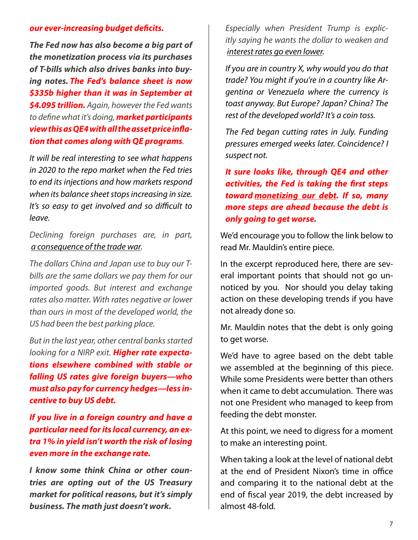### *our ever-increasing budget deficits.*

*The Fed now has also become a big part of the monetization process via its purchases of T-bills which also drives banks into buying notes. The Fed's balance sheet is now \$335b higher than it was in September at \$4.095 trillion. Again, however the Fed wants to define what it's doing, market participants view this as QE4 with all the asset price inflation that comes along with QE programs.*

*It will be real interesting to see what happens in 2020 to the repo market when the Fed tries to end its injections and how markets respond when its balance sheet stops increasing in size. It's so easy to get involved and so difficult to leave.*

*Declining foreign purchases are, in part, a consequence of the trade war.*

*The dollars China and Japan use to buy our Tbills are the same dollars we pay them for our imported goods. But interest and exchange rates also matter. With rates negative or lower than ours in most of the developed world, the US had been the best parking place.*

*But in the last year, other central banks started looking for a NIRP exit. Higher rate expectations elsewhere combined with stable or falling US rates give foreign buyers—who must also pay for currency hedges—less incentive to buy US debt.*

*If you live in a foreign country and have a particular need for its local currency, an extra 1% in yield isn't worth the risk of losing even more in the exchange rate.*

*I know some think China or other countries are opting out of the US Treasury market for political reasons, but it's simply business. The math just doesn't work.*

*Especially when President Trump is explicitly saying he wants the dollar to weaken and interest rates go even lower.*

*If you are in country X, why would you do that trade? You might if you're in a country like Argentina or Venezuela where the currency is toast anyway. But Europe? Japan? China? The rest of the developed world? It's a coin toss.*

*The Fed began cutting rates in July. Funding pressures emerged weeks later. Coincidence? I suspect not.*

*It sure looks like, through QE4 and other activities, the Fed is taking the first steps toward monetizing our debt. If so, many more steps are ahead because the debt is only going to get worse.*

We'd encourage you to follow the link below to read Mr. Mauldin's entire piece.

In the excerpt reproduced here, there are several important points that should not go unnoticed by you. Nor should you delay taking action on these developing trends if you have not already done so.

Mr. Mauldin notes that the debt is only going to get worse.

We'd have to agree based on the debt table we assembled at the beginning of this piece. While some Presidents were better than others when it came to debt accumulation. There was not one President who managed to keep from feeding the debt monster.

At this point, we need to digress for a moment to make an interesting point.

When taking a look at the level of national debt at the end of President Nixon's time in office and comparing it to the national debt at the end of fiscal year 2019, the debt increased by almost 48-fold.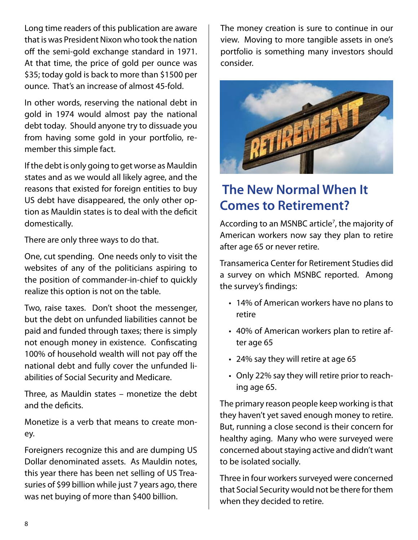Long time readers of this publication are aware that is was President Nixon who took the nation off the semi-gold exchange standard in 1971. At that time, the price of gold per ounce was \$35; today gold is back to more than \$1500 per ounce. That's an increase of almost 45-fold.

In other words, reserving the national debt in gold in 1974 would almost pay the national debt today. Should anyone try to dissuade you from having some gold in your portfolio, remember this simple fact.

If the debt is only going to get worse as Mauldin states and as we would all likely agree, and the reasons that existed for foreign entities to buy US debt have disappeared, the only other option as Mauldin states is to deal with the deficit domestically.

There are only three ways to do that.

One, cut spending. One needs only to visit the websites of any of the politicians aspiring to the position of commander-in-chief to quickly realize this option is not on the table.

Two, raise taxes. Don't shoot the messenger, but the debt on unfunded liabilities cannot be paid and funded through taxes; there is simply not enough money in existence. Confiscating 100% of household wealth will not pay off the national debt and fully cover the unfunded liabilities of Social Security and Medicare.

Three, as Mauldin states – monetize the debt and the deficits.

Monetize is a verb that means to create money.

Foreigners recognize this and are dumping US Dollar denominated assets. As Mauldin notes, this year there has been net selling of US Treasuries of \$99 billion while just 7 years ago, there was net buying of more than \$400 billion.

The money creation is sure to continue in our view. Moving to more tangible assets in one's portfolio is something many investors should consider.



## **The New Normal When It Comes to Retirement?**

According to an MSNBC article<sup>7</sup>, the majority of American workers now say they plan to retire after age 65 or never retire.

Transamerica Center for Retirement Studies did a survey on which MSNBC reported. Among the survey's findings:

- 14% of American workers have no plans to retire
- 40% of American workers plan to retire af-• ter age 65
- 24% say they will retire at age 65
- Only 22% say they will retire prior to reaching age 65.

The primary reason people keep working is that they haven't yet saved enough money to retire. But, running a close second is their concern for healthy aging. Many who were surveyed were concerned about staying active and didn't want to be isolated socially.

Three in four workers surveyed were concerned that Social Security would not be there for them when they decided to retire.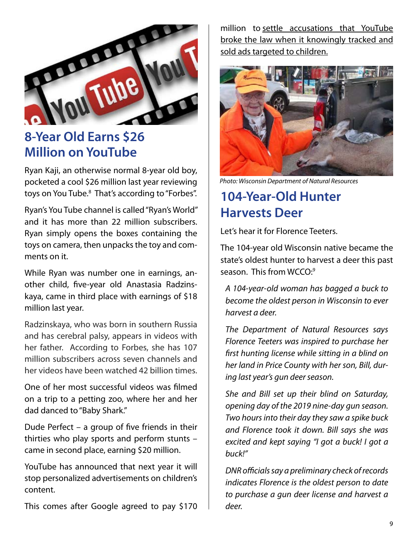

# **Million on YouTube**

Ryan Kaji, an otherwise normal 8-year old boy, pocketed a cool \$26 million last year reviewing toys on You Tube.<sup>8</sup> That's according to "Forbes".

Ryan's You Tube channel is called "Ryan's World" and it has more than 22 million subscribers. Ryan simply opens the boxes containing the toys on camera, then unpacks the toy and comments on it.

While Ryan was number one in earnings, another child, five-year old Anastasia Radzinskaya, came in third place with earnings of \$18 million last year.

Radzinskaya, who was born in southern Russia and has cerebral palsy, appears in videos with her father. According to Forbes, she has 107 million subscribers across seven channels and her videos have been watched 42 billion times.

One of her most successful videos was filmed on a trip to a petting zoo, where her and her dad danced to "Baby Shark."

Dude Perfect – a group of five friends in their thirties who play sports and perform stunts – came in second place, earning \$20 million.

YouTube has announced that next year it will stop personalized advertisements on children's content.

This comes after Google agreed to pay \$170

million to settle accusations that YouTube broke the law when it knowingly tracked and sold ads targeted to children.



*Photo: Wisconsin Department of Natural Resources*

# **104-Year-Old Hunter Harvests Deer**

Let's hear it for Florence Teeters.

The 104-year old Wisconsin native became the state's oldest hunter to harvest a deer this past season. This from WCCO:<sup>9</sup>

*A 104-year-old woman has bagged a buck to become the oldest person in Wisconsin to ever harvest a deer.*

*The Department of Natural Resources says Florence Teeters was inspired to purchase her first hunting license while sitting in a blind on her land in Price County with her son, Bill, during last year's gun deer season.*

*She and Bill set up their blind on Saturday, opening day of the 2019 nine-day gun season. Two hours into their day they saw a spike buck and Florence took it down. Bill says she was excited and kept saying "I got a buck! I got a buck!"*

*DNR officials say a preliminary check of records indicates Florence is the oldest person to date to purchase a gun deer license and harvest a deer.*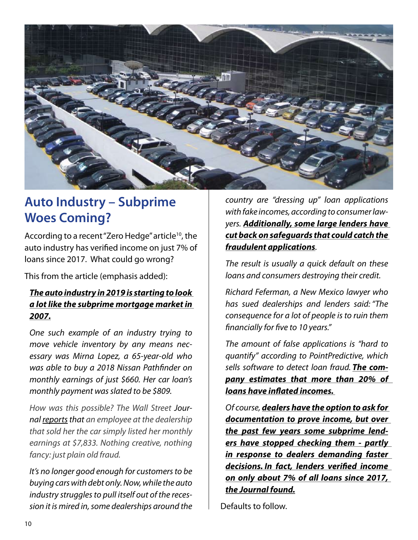

### **Auto Industry – Subprime Woes Coming?**

According to a recent "Zero Hedge" article<sup>10</sup>, the auto industry has verified income on just 7% of loans since 2017. What could go wrong?

This from the article (emphasis added):

### *The auto industry in 2019 is starting to look a lot like the subprime mortgage market in 2007.*

*One such example of an industry trying to move vehicle inventory by any means necessary was Mirna Lopez, a 65-year-old who was able to buy a 2018 Nissan Pathfinder on monthly earnings of just \$660. Her car loan's monthly payment was slated to be \$809.*

*How was this possible? The Wall Street Journal <u>reports</u> that an employee at the dealership that sold her the car simply listed her monthly earnings at \$7,833. Nothing creative, nothing fancy: just plain old fraud.*

*It's no longer good enough for customers to be buying cars with debt only. Now, while the auto industry struggles to pull itself out of the recession it is mired in, some dealerships around the* 

*country are "dressing up" loan applications with fake incomes, according to consumer lawyers. Additionally, some large lenders have cut back on safeguards that could catch the fraudulent applications.*

*The result is usually a quick default on these loans and consumers destroying their credit.*

*Richard Feferman, a New Mexico lawyer who has sued dealerships and lenders said: "The consequence for a lot of people is to ruin them financially for five to 10 years."*

*The amount of false applications is "hard to quantify" according to PointPredictive, which sells software to detect loan fraud. The company estimates that more than 20% of loans have inflated incomes.*

*Of course, dealers have the option to ask for documentation to prove income, but over the past few years some subprime lenders have stopped checking them - partly in response to dealers demanding faster decisions. In fact, lenders verified income on only about 7% of all loans since 2017, the Journal found.*

Defaults to follow.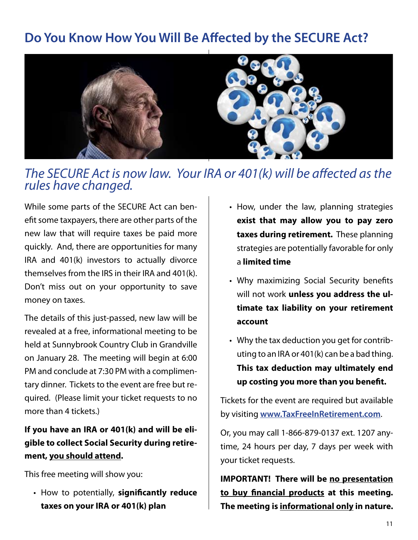# **Do You Know How You Will Be Affected by the SECURE Act?**



### *The SECURE Act is now law. Your IRA or 401(k) will be affected as the rules have changed.*

While some parts of the SECURE Act can benefit some taxpayers, there are other parts of the new law that will require taxes be paid more quickly. And, there are opportunities for many IRA and 401(k) investors to actually divorce themselves from the IRS in their IRA and 401(k). Don't miss out on your opportunity to save money on taxes.

The details of this just-passed, new law will be revealed at a free, informational meeting to be held at Sunnybrook Country Club in Grandville on January 28. The meeting will begin at 6:00 PM and conclude at 7:30 PM with a complimentary dinner. Tickets to the event are free but required. (Please limit your ticket requests to no more than 4 tickets.)

**If you have an IRA or 401(k) and will be eligible to collect Social Security during retirement, you should attend.**

This free meeting will show you:

How to potentially, **significantly reduce**  • **taxes on your IRA or 401(k) plan**

- How, under the law, planning strategies **exist that may allow you to pay zero taxes during retirement.** These planning strategies are potentially favorable for only a **limited time**
- Why maximizing Social Security benefits will not work **unless you address the ultimate tax liability on your retirement account**
- Why the tax deduction you get for contrib-• uting to an IRA or 401(k) can be a bad thing. **This tax deduction may ultimately end up costing you more than you benefit.**

Tickets for the event are required but available by visiting **www.TaxFreeInRetirement.com**.

Or, you may call 1-866-879-0137 ext. 1207 anytime, 24 hours per day, 7 days per week with your ticket requests.

**IMPORTANT! There will be no presentation to buy financial products at this meeting. The meeting is informational only in nature.**